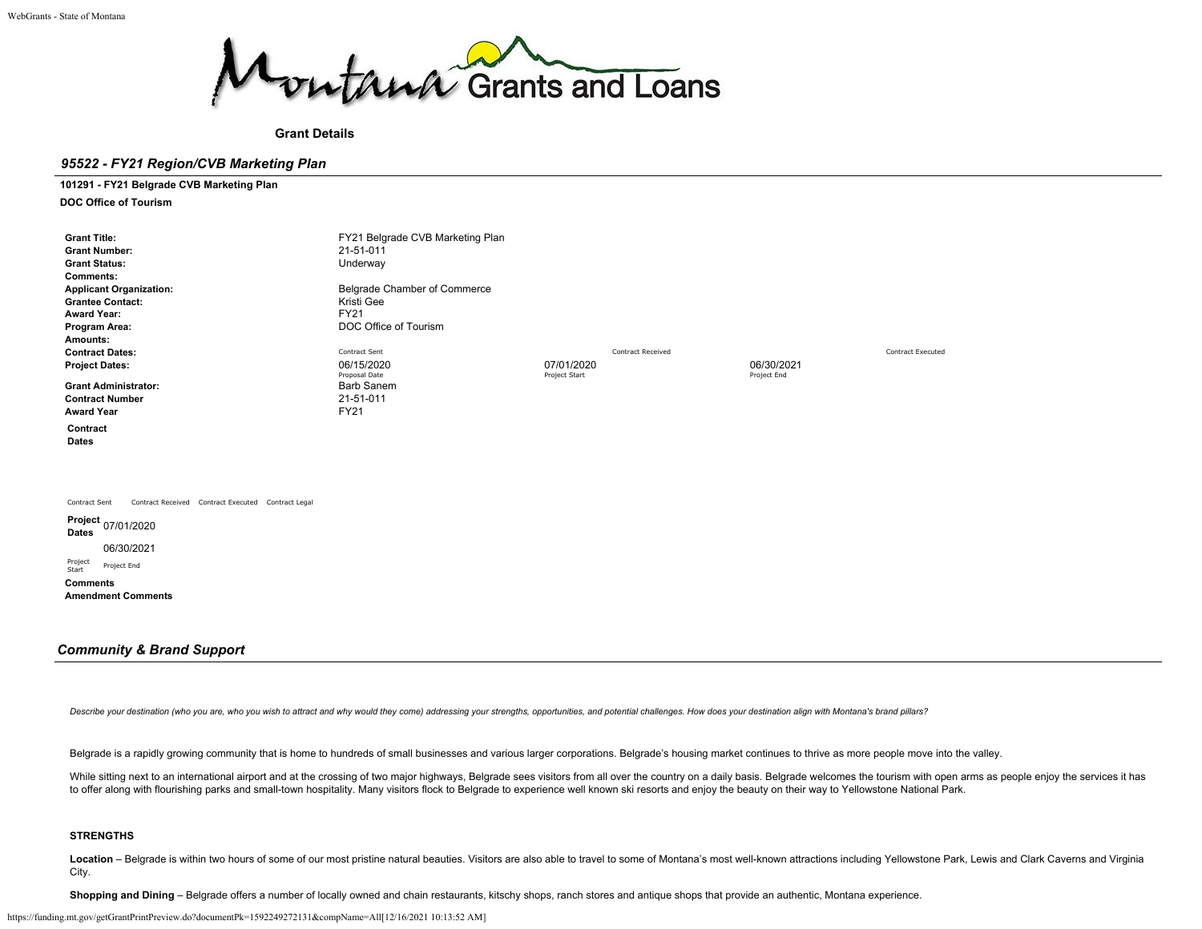

**Grant Details**

## *95522 - FY21 Region/CVB Marketing Plan*

**101291 - FY21 Belgrade CVB Marketing Plan DOC Office of Tourism**

| <b>Grant Title:</b><br><b>Grant Number:</b><br><b>Grant Status:</b><br><b>Comments:</b><br><b>Applicant Organization:</b><br><b>Grantee Contact:</b><br><b>Award Year:</b><br>Program Area:<br>Amounts:<br><b>Contract Dates:</b><br><b>Project Dates:</b><br><b>Grant Administrator:</b><br><b>Contract Number</b><br><b>Award Year</b><br>Contract<br>Dates | FY21 Belgrade CVB Marketing Plan<br>21-51-011<br>Underway<br>Belgrade Chamber of Commerce<br>Kristi Gee<br><b>FY21</b><br>DOC Office of Tourism<br>Contract Sent<br>06/15/2020<br>Proposal Date<br><b>Barb Sanem</b><br>21-51-011<br><b>FY21</b> | <b>Contract Received</b><br>07/01/2020<br>Project Start | 06/30/2021<br>Project End | Contract Executed |
|---------------------------------------------------------------------------------------------------------------------------------------------------------------------------------------------------------------------------------------------------------------------------------------------------------------------------------------------------------------|--------------------------------------------------------------------------------------------------------------------------------------------------------------------------------------------------------------------------------------------------|---------------------------------------------------------|---------------------------|-------------------|
| Contract Sent<br>Contract Received Contract Executed Contract Legal<br>Dates<br>06/30/2021<br>Project<br>Project End<br>Start<br><b>Comments</b><br><b>Amendment Comments</b>                                                                                                                                                                                 |                                                                                                                                                                                                                                                  |                                                         |                           |                   |

### *Community & Brand Support*

Describe your destination (who you are, who you wish to attract and why would they come) addressing your strengths, opportunities, and potential challenges. How does your destination align with Montana's brand pillars?

Belgrade is a rapidly growing community that is home to hundreds of small businesses and various larger corporations. Belgrade's housing market continues to thrive as more people move into the valley.

While sitting next to an international airport and at the crossing of two major highways, Belgrade sees visitors from all over the country on a daily basis. Belgrade welcomes the tourism with open arms as people enjoy the to offer along with flourishing parks and small-town hospitality. Many visitors flock to Belgrade to experience well known ski resorts and enjoy the beauty on their way to Yellowstone National Park.

### **STRENGTHS**

Location - Belgrade is within two hours of some of our most pristine natural beauties. Visitors are also able to travel to some of Montana's most well-known attractions including Yellowstone Park, Lewis and Clark Caverns a City.

**Shopping and Dining** – Belgrade offers a number of locally owned and chain restaurants, kitschy shops, ranch stores and antique shops that provide an authentic, Montana experience.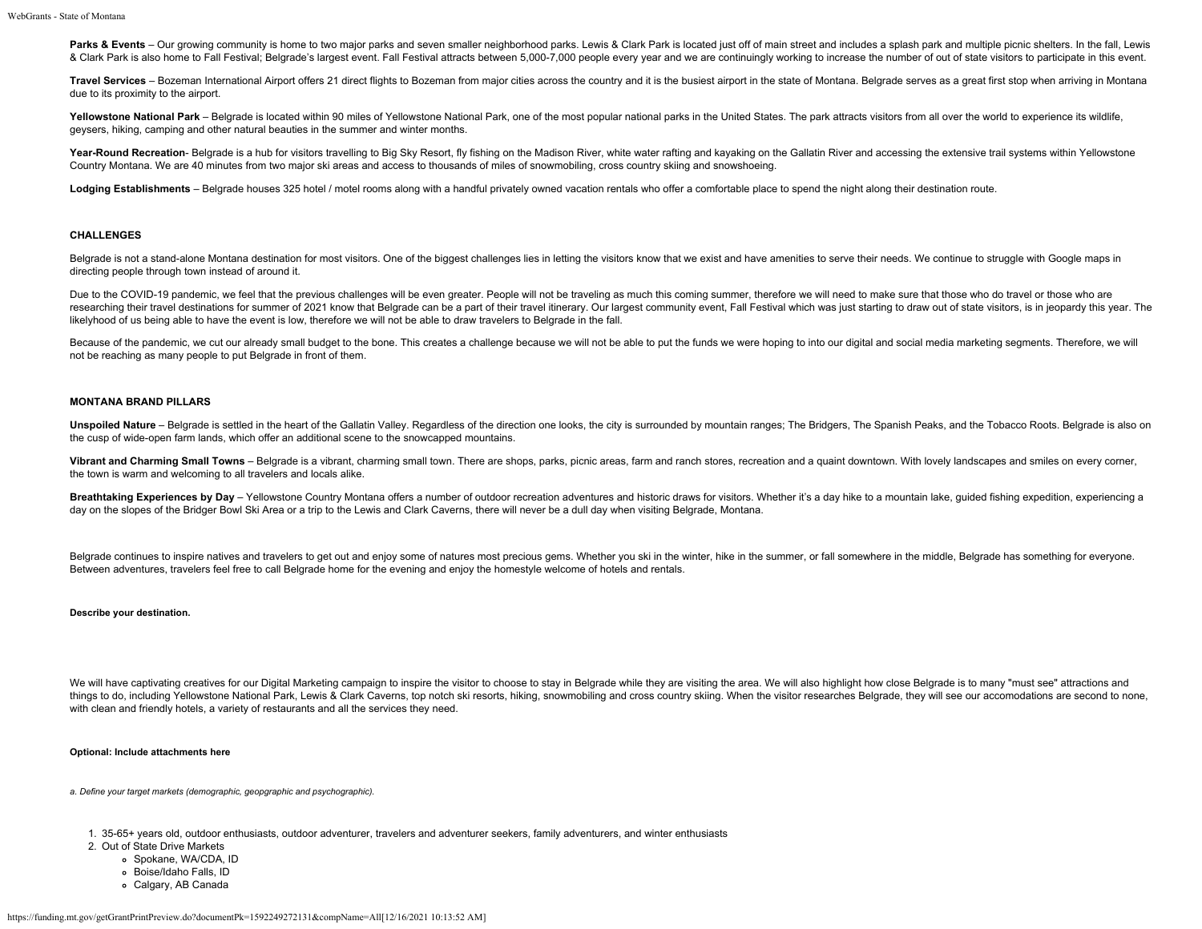Parks & Events - Our growing community is home to two major parks and seven smaller neighborhood parks. Lewis & Clark Park is located just off of main street and includes a splash park and multiple picnic shelters. In the & Clark Park is also home to Fall Festival; Belgrade's largest event. Fall Festival attracts between 5,000-7,000 people every year and we are continuingly working to increase the number of out of state visitors to particip

Travel Services - Bozeman International Airport offers 21 direct flights to Bozeman from maior cities across the country and it is the busiest airport in the state of Montana. Belgrade serves as a great first stop when arr due to its proximity to the airport.

Yellowstone National Park - Belgrade is located within 90 miles of Yellowstone National Park, one of the most popular national parks in the United States. The park attracts visitors from all over the world to experience it geysers, hiking, camping and other natural beauties in the summer and winter months.

Year-Round Recreation- Belgrade is a hub for visitors travelling to Big Sky Resort, fly fishing on the Madison River, white water rafting and kayaking on the Gallatin River and accessing the extensive trail systems within Country Montana. We are 40 minutes from two major ski areas and access to thousands of miles of snowmobiling, cross country skiing and snowshoeing.

Lodging Establishments - Belgrade houses 325 hotel / motel rooms along with a handful privately owned vacation rentals who offer a comfortable place to spend the night along their destination route.

#### **CHALLENGES**

Belgrade is not a stand-alone Montana destination for most visitors. One of the biggest challenges lies in letting the visitors know that we exist and have amenities to serve their needs. We continue to struggle with Googl directing people through town instead of around it.

Due to the COVID-19 pandemic, we feel that the previous challenges will be even greater. People will not be traveling as much this coming summer, therefore we will need to make sure that those who do travel or those who ar researching their travel destinations for summer of 2021 know that Belgrade can be a part of their travel itinerary. Our largest community event, Fall Festival which was just starting to draw out of state visitors, is in j likelyhood of us being able to have the event is low, therefore we will not be able to draw travelers to Belgrade in the fall.

Because of the pandemic, we cut our already small budget to the bone. This creates a challenge because we will not be able to put the funds we were hoping to into our digital and social media marketing segments. Therefore, not be reaching as many people to put Belgrade in front of them.

#### **MONTANA BRAND PILLARS**

Unspoiled Nature - Belgrade is settled in the heart of the Gallatin Valley. Regardless of the direction one looks, the city is surrounded by mountain ranges; The Bridgers, The Spanish Peaks, and the Tobacco Roots. Belgrade the cusp of wide-open farm lands, which offer an additional scene to the snowcapped mountains.

Vibrant and Charming Small Towns - Belgrade is a vibrant, charming small town. There are shops, parks, picnic areas, farm and ranch stores, recreation and a quaint downtown. With lovely landscapes and smiles on every corne the town is warm and welcoming to all travelers and locals alike.

Breathtaking Experiences by Day - Yellowstone Country Montana offers a number of outdoor recreation adventures and historic draws for visitors. Whether it's a day hike to a mountain lake, guided fishing expedition, experie day on the slopes of the Bridger Bowl Ski Area or a trip to the Lewis and Clark Caverns, there will never be a dull day when visiting Belgrade, Montana.

Belgrade continues to inspire natives and travelers to get out and enjoy some of natures most precious gems. Whether you ski in the winter, hike in the summer, or fall somewhere in the middle, Belgrade has something for ev Between adventures, travelers feel free to call Belgrade home for the evening and enjoy the homestyle welcome of hotels and rentals.

#### **Describe your destination.**

We will have captivating creatives for our Digital Marketing campaign to inspire the visitor to choose to stay in Belgrade while they are visiting the area. We will also highlight how close Belgrade is to many "must see" a things to do, including Yellowstone National Park, Lewis & Clark Caverns, top notch ski resorts, hiking, snowmobiling and cross country skiing. When the visitor researches Belgrade, they will see our accomodations are seco with clean and friendly hotels, a variety of restaurants and all the services they need.

### **Optional: Include attachments here**

*a. Define your target markets (demographic, geopgraphic and psychographic).*

1. 35-65+ years old, outdoor enthusiasts, outdoor adventurer, travelers and adventurer seekers, family adventurers, and winter enthusiasts

- 2. Out of State Drive Markets
	- o Spokane, WA/CDA, ID
	- Boise/Idaho Falls, ID
	- Calgary, AB Canada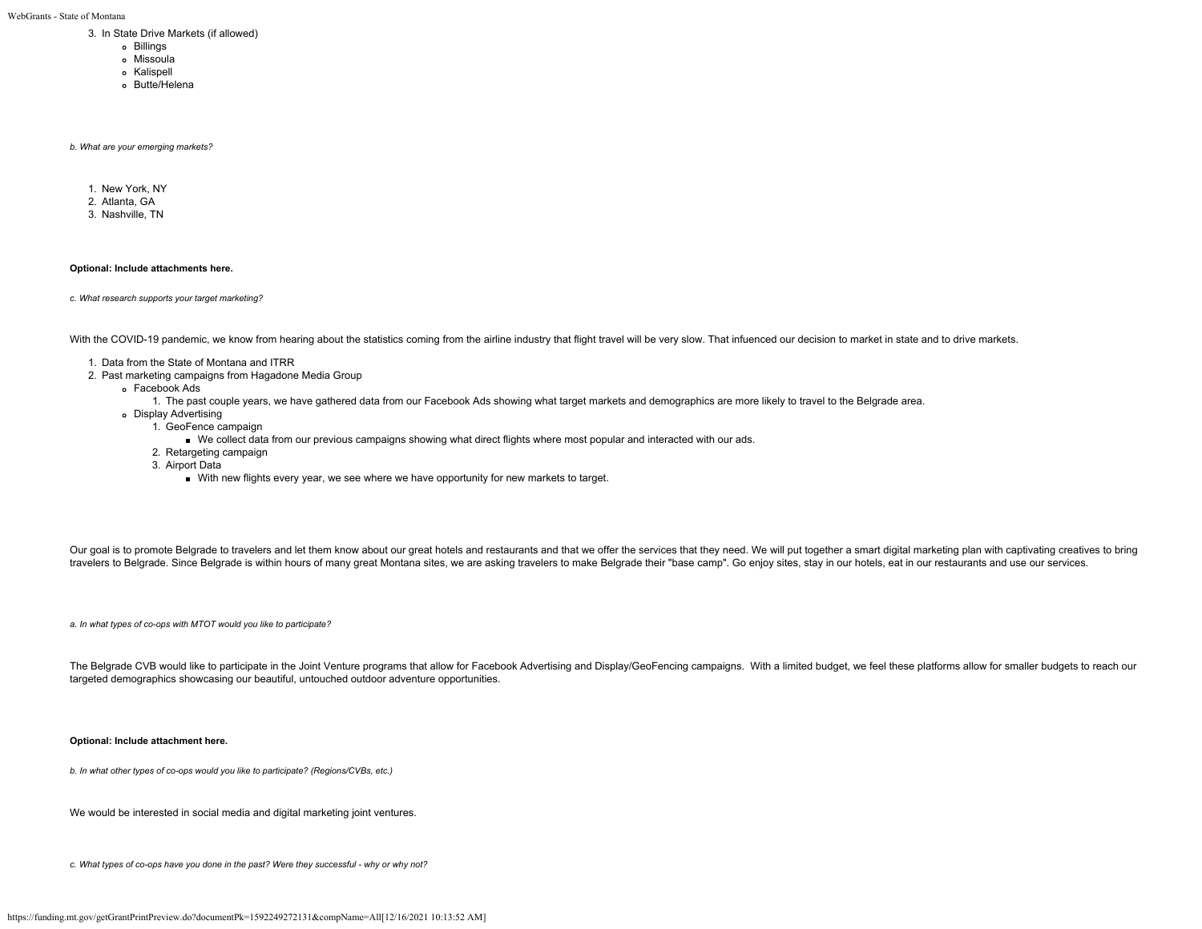WebGrants - State of Montana

- 3. In State Drive Markets (if allowed)
	- Billings
	- Missoula
	- o Kalispell
	- Butte/Helena
	-

*b. What are your emerging markets?*

- 1. New York, NY
- 2. Atlanta, GA
- 3. Nashville, TN

#### **Optional: Include attachments here.**

*c. What research supports your target marketing?*

With the COVID-19 pandemic, we know from hearing about the statistics coming from the airline industry that flight travel will be very slow. That infuenced our decision to market in state and to drive markets.

- 1. Data from the State of Montana and ITRR
- 2. Past marketing campaigns from Hagadone Media Group
	- Facebook Ads
		- 1. The past couple years, we have gathered data from our Facebook Ads showing what target markets and demographics are more likely to travel to the Belgrade area.
	- Display Advertising
		- 1. GeoFence campaign
			- We collect data from our previous campaigns showing what direct flights where most popular and interacted with our ads.
		- 2. Retargeting campaign
		- 3. Airport Data
			- With new flights every year, we see where we have opportunity for new markets to target.

Our goal is to promote Belgrade to travelers and let them know about our great hotels and restaurants and that we offer the services that they need. We will put together a smart digital marketing plan with captivating crea travelers to Belgrade. Since Belgrade is within hours of many great Montana sites, we are asking travelers to make Belgrade their "base camp". Go enjoy sites, stay in our hotels, eat in our restaurants and use our services.

*a. In what types of co-ops with MTOT would you like to participate?*

The Belgrade CVB would like to participate in the Joint Venture programs that allow for Facebook Advertising and Display/GeoFencing campaigns. With a limited budget, we feel these platforms allow for smaller budgets to rea targeted demographics showcasing our beautiful, untouched outdoor adventure opportunities.

#### **Optional: Include attachment here.**

*b. In what other types of co-ops would you like to participate? (Regions/CVBs, etc.)*

We would be interested in social media and digital marketing joint ventures.

*c. What types of co-ops have you done in the past? Were they successful - why or why not?*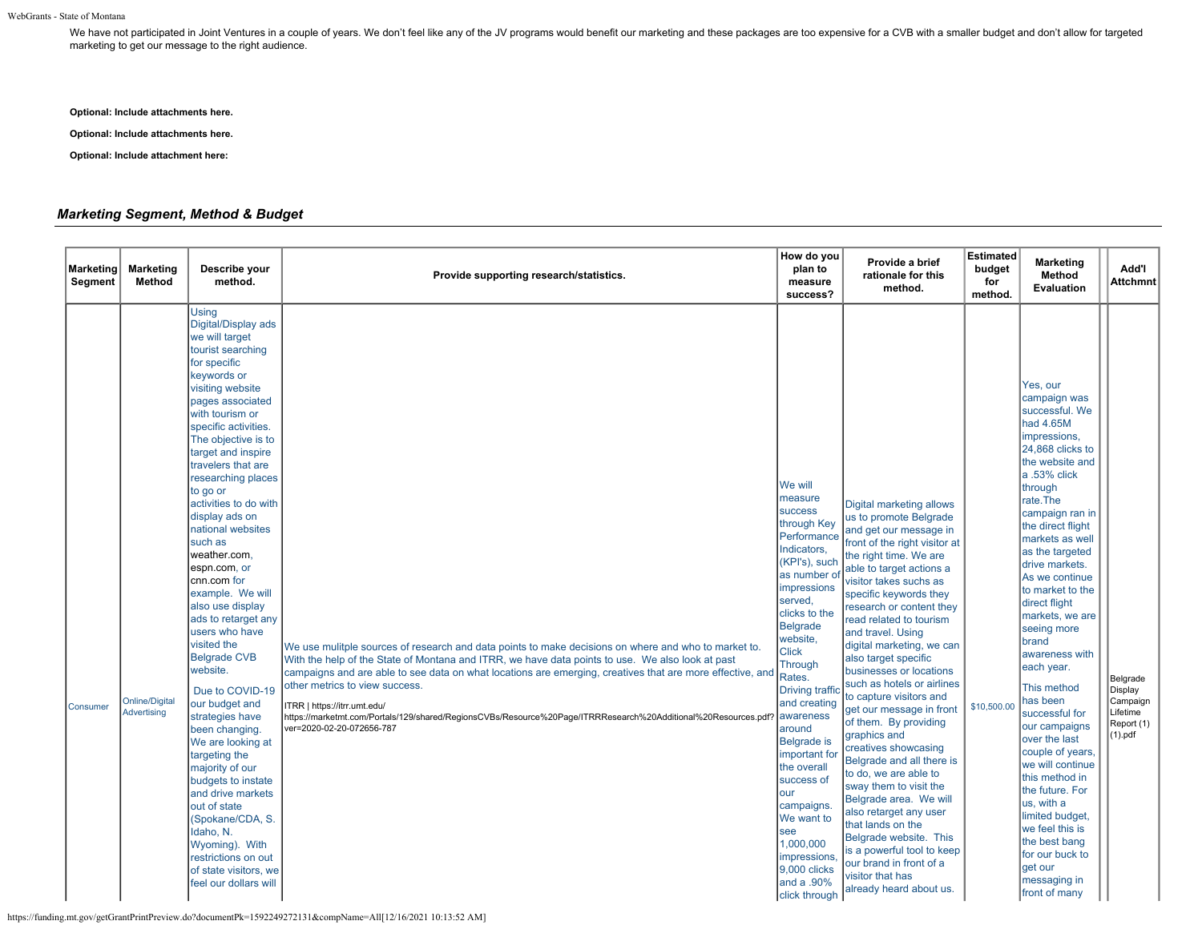We have not participated in Joint Ventures in a couple of years. We don't feel like any of the JV programs would benefit our marketing and these packages are too expensive for a CVB with a smaller budget and don't allow fo marketing to get our message to the right audience.

**Optional: Include attachments here.**

**Optional: Include attachments here.**

**Optional: Include attachment here:**

## *Marketing Segment, Method & Budget*

| <b>Marketing</b><br>Segment | <b>Marketing</b><br>Method           | Describe your<br>method.                                                                                                                                                                                                                                                                                                                                                                                                                                                                                                                                                                                                                                                                                                                                                                                                                                                                 | Provide supporting research/statistics.                                                                                                                                                                                                                                                                                                                                                                                                                                                                                                | How do you<br>plan to<br>measure<br>success?                                                                                                                                                                                                                                                                                                                                                                                                                                | Provide a brief<br>rationale for this<br>method.                                                                                                                                                                                                                                                                                                                                                                                                                                                                                                                                                                                                                                                                                                                                                                                     | <b>Estimated</b><br>budget<br>for<br>method. | <b>Marketing</b><br>Method<br>Evaluation                                                                                                                                                                                                                                                                                                                                                                                                                                                                                                                                                                                                                                               | Add'l<br><b>Attchmnt</b>                                                         |
|-----------------------------|--------------------------------------|------------------------------------------------------------------------------------------------------------------------------------------------------------------------------------------------------------------------------------------------------------------------------------------------------------------------------------------------------------------------------------------------------------------------------------------------------------------------------------------------------------------------------------------------------------------------------------------------------------------------------------------------------------------------------------------------------------------------------------------------------------------------------------------------------------------------------------------------------------------------------------------|----------------------------------------------------------------------------------------------------------------------------------------------------------------------------------------------------------------------------------------------------------------------------------------------------------------------------------------------------------------------------------------------------------------------------------------------------------------------------------------------------------------------------------------|-----------------------------------------------------------------------------------------------------------------------------------------------------------------------------------------------------------------------------------------------------------------------------------------------------------------------------------------------------------------------------------------------------------------------------------------------------------------------------|--------------------------------------------------------------------------------------------------------------------------------------------------------------------------------------------------------------------------------------------------------------------------------------------------------------------------------------------------------------------------------------------------------------------------------------------------------------------------------------------------------------------------------------------------------------------------------------------------------------------------------------------------------------------------------------------------------------------------------------------------------------------------------------------------------------------------------------|----------------------------------------------|----------------------------------------------------------------------------------------------------------------------------------------------------------------------------------------------------------------------------------------------------------------------------------------------------------------------------------------------------------------------------------------------------------------------------------------------------------------------------------------------------------------------------------------------------------------------------------------------------------------------------------------------------------------------------------------|----------------------------------------------------------------------------------|
| Consumer                    | <b>Online/Digital</b><br>Advertising | <b>Using</b><br>Digital/Display ads<br>we will target<br>tourist searching<br>for specific<br>keywords or<br>visiting website<br>pages associated<br>with tourism or<br>specific activities.<br>The objective is to<br>target and inspire<br>travelers that are<br>researching places<br>to go or<br>activities to do with<br>display ads on<br>national websites<br>such as<br>weather.com,<br>espn.com, or<br>cnn.com for<br>example. We will<br>also use display<br>ads to retarget any<br>users who have<br>visited the<br><b>Belgrade CVB</b><br>website.<br>Due to COVID-19<br>our budget and<br>strategies have<br>been changing.<br>We are looking at<br>targeting the<br>majority of our<br>budgets to instate<br>and drive markets<br>out of state<br>(Spokane/CDA, S.<br>Idaho, N.<br>Wyoming). With<br>restrictions on out<br>of state visitors, we<br>feel our dollars will | We use mulitple sources of research and data points to make decisions on where and who to market to.<br>With the help of the State of Montana and ITRR, we have data points to use. We also look at past<br>campaigns and are able to see data on what locations are emerging, creatives that are more effective, and<br>other metrics to view success.<br>ITRR   https://itrr.umt.edu/<br>https://marketmt.com/Portals/129/shared/RegionsCVBs/Resource%20Page/ITRRResearch%20Additional%20Resources.pdf?<br>ver=2020-02-20-072656-787 | We will<br>measure<br>success<br>through Key<br>Performance<br>Indicators,<br>(KPI's), such<br>as number of<br><b>impressions</b><br>served,<br>clicks to the<br>Belgrade<br>website,<br>Click<br>Through<br>Rates.<br><b>Driving traff</b><br>and creating<br>awareness<br>around<br>Belgrade is<br>important for<br>the overall<br>success of<br>our<br>campaigns.<br>We want to<br>see<br>1,000,000<br><b>impressions</b><br>9,000 clicks<br>and a .90%<br>click through | Digital marketing allows<br>us to promote Belgrade<br>and get our message in<br>front of the right visitor at<br>the right time. We are<br>able to target actions a<br>visitor takes suchs as<br>specific keywords they<br>research or content they<br>read related to tourism<br>and travel. Using<br>digital marketing, we can<br>also target specific<br>businesses or locations<br>such as hotels or airlines<br>to capture visitors and<br>get our message in front<br>of them. By providing<br>graphics and<br>creatives showcasing<br>Belgrade and all there is<br>to do, we are able to<br>sway them to visit the<br>Belgrade area. We will<br>also retarget any user<br>that lands on the<br>Belgrade website. This<br>is a powerful tool to keep<br>our brand in front of a<br>visitor that has<br>already heard about us. | \$10,500.00                                  | Yes, our<br>campaign was<br>successful. We<br>had 4.65M<br>impressions,<br>24,868 clicks to<br>the website and<br>a .53% click<br>through<br>rate.The<br>campaign ran in<br>the direct flight<br>markets as well<br>as the targeted<br>drive markets.<br>As we continue<br>to market to the<br>direct flight<br>markets, we are<br>seeing more<br>brand<br>awareness with<br>each year.<br>This method<br>has been<br>successful for<br>our campaigns<br>over the last<br>couple of years<br>we will continue<br>this method in<br>the future. For<br>us, with a<br>limited budget,<br>we feel this is<br>the best bang<br>for our buck to<br>aet our<br>messaging in<br>front of many | Belgrade<br>Display<br>Campaign<br>Lifetime<br>Report (1)<br>(1). <sub>pdf</sub> |

https://funding.mt.gov/getGrantPrintPreview.do?documentPk=1592249272131&compName=All[12/16/2021 10:13:52 AM]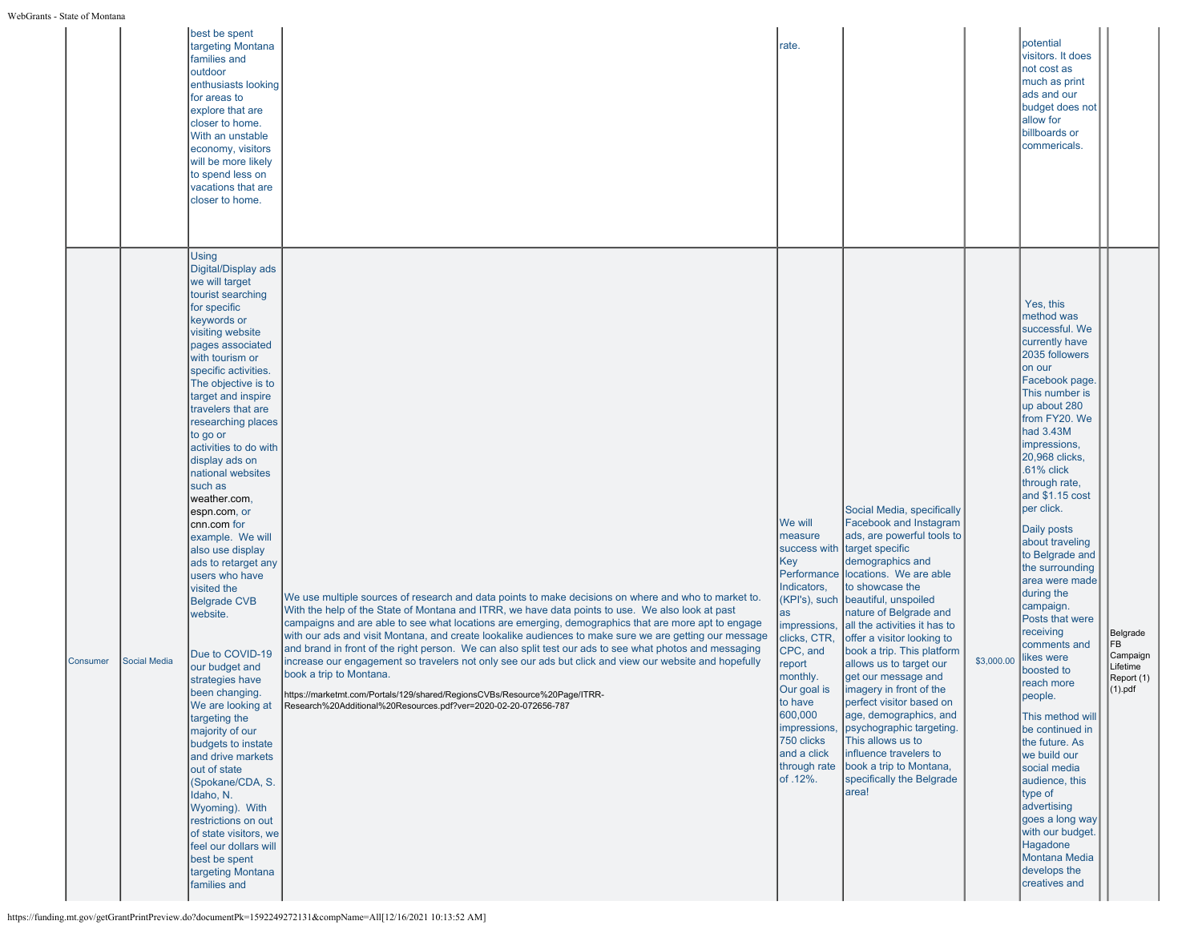|          |                     | best be spent<br>targeting Montana<br>families and<br>outdoor<br>enthusiasts looking<br>for areas to<br>explore that are<br>closer to home.<br>With an unstable<br>economy, visitors<br>will be more likely<br>to spend less on<br>vacations that are<br>closer to home.                                                                                                                                                                                                                                                                                                                                                                                                                                                                                                                                                                                                                                                                       |                                                                                                                                                                                                                                                                                                                                                                                                                                                                                                                                                                                                                                                                                                                                                                                                                           | rate.                                                                                                                                                                                                                                                                         |                                                                                                                                                                                                                                                                                                                                                                                                                                                                                                                                                                                                     |            | potential<br>visitors. It does<br>not cost as<br>much as print<br>ads and our<br>budget does not<br>allow for<br>billboards or<br>commericals.                                                                                                                                                                                                                                                                                                                                                                                                                                                                                                                                                                                                    |                                                                     |
|----------|---------------------|------------------------------------------------------------------------------------------------------------------------------------------------------------------------------------------------------------------------------------------------------------------------------------------------------------------------------------------------------------------------------------------------------------------------------------------------------------------------------------------------------------------------------------------------------------------------------------------------------------------------------------------------------------------------------------------------------------------------------------------------------------------------------------------------------------------------------------------------------------------------------------------------------------------------------------------------|---------------------------------------------------------------------------------------------------------------------------------------------------------------------------------------------------------------------------------------------------------------------------------------------------------------------------------------------------------------------------------------------------------------------------------------------------------------------------------------------------------------------------------------------------------------------------------------------------------------------------------------------------------------------------------------------------------------------------------------------------------------------------------------------------------------------------|-------------------------------------------------------------------------------------------------------------------------------------------------------------------------------------------------------------------------------------------------------------------------------|-----------------------------------------------------------------------------------------------------------------------------------------------------------------------------------------------------------------------------------------------------------------------------------------------------------------------------------------------------------------------------------------------------------------------------------------------------------------------------------------------------------------------------------------------------------------------------------------------------|------------|---------------------------------------------------------------------------------------------------------------------------------------------------------------------------------------------------------------------------------------------------------------------------------------------------------------------------------------------------------------------------------------------------------------------------------------------------------------------------------------------------------------------------------------------------------------------------------------------------------------------------------------------------------------------------------------------------------------------------------------------------|---------------------------------------------------------------------|
| Consumer | <b>Social Media</b> | <b>Using</b><br>Digital/Display ads<br>we will target<br>tourist searching<br>for specific<br>keywords or<br>visiting website<br>pages associated<br>with tourism or<br>specific activities.<br>The objective is to<br>target and inspire<br>travelers that are<br>researching places<br>to go or<br>activities to do with<br>display ads on<br>national websites<br>such as<br>weather.com,<br>espn.com, or<br>cnn.com for<br>example. We will<br>also use display<br>ads to retarget any<br>users who have<br>visited the<br><b>Belgrade CVB</b><br>website.<br>Due to COVID-19<br>our budget and<br>strategies have<br>been changing.<br>We are looking at<br>targeting the<br>majority of our<br>budgets to instate<br>and drive markets<br>out of state<br>(Spokane/CDA, S.<br>Idaho, N.<br>Wyoming). With<br>restrictions on out<br>of state visitors, we<br>feel our dollars will<br>best be spent<br>targeting Montana<br>families and | We use multiple sources of research and data points to make decisions on where and who to market to.<br>With the help of the State of Montana and ITRR, we have data points to use. We also look at past<br>campaigns and are able to see what locations are emerging, demographics that are more apt to engage<br>with our ads and visit Montana, and create lookalike audiences to make sure we are getting our message<br>and brand in front of the right person. We can also split test our ads to see what photos and messaging<br>increase our engagement so travelers not only see our ads but click and view our website and hopefully<br>book a trip to Montana.<br>https://marketmt.com/Portals/129/shared/RegionsCVBs/Resource%20Page/ITRR-<br>Research%20Additional%20Resources.pdf?ver=2020-02-20-072656-787 | We will<br>measure<br>success with<br>Key<br>Performance<br>Indicators,<br>KPI's), such<br>as<br>impressions,<br>clicks, CTR,<br>CPC, and<br>report<br>monthly.<br>Our goal is<br>to have<br>600,000<br>impressions,<br>750 clicks<br>and a click<br>through rate<br>of .12%. | Social Media, specifically<br>Facebook and Instagram<br>ads, are powerful tools to<br>target specific<br>demographics and<br>locations. We are able<br>to showcase the<br>beautiful, unspoiled<br>nature of Belgrade and<br>all the activities it has to<br>offer a visitor looking to<br>book a trip. This platform<br>allows us to target our<br>get our message and<br>imagery in front of the<br>perfect visitor based on<br>age, demographics, and<br>psychographic targeting.<br>This allows us to<br>influence travelers to<br>book a trip to Montana,<br>specifically the Belgrade<br>area! | \$3,000.00 | Yes, this<br>method was<br>successful. We<br>currently have<br>2035 followers<br>on our<br>Facebook page.<br>This number is<br>up about 280<br>from FY20. We<br>$had$ 3.43M<br>impressions,<br>20.968 clicks.<br>.61% click<br>through rate,<br>and \$1.15 cost<br>per click.<br>Daily posts<br>about traveling<br>to Belgrade and<br>the surrounding<br>area were made<br>during the<br>campaign.<br>Posts that were<br>receiving<br>comments and<br>likes were<br>boosted to<br>reach more<br>people.<br>This method will<br>be continued in<br>the future. As<br>we build our<br>social media<br>audience, this<br>type of<br>advertising<br>goes a long way<br>with our budget.<br>Hagadone<br>Montana Media<br>develops the<br>creatives and | Belgrade<br> FB<br>Campaign<br>Lifetime<br>Report (1)<br>$(1)$ .pdf |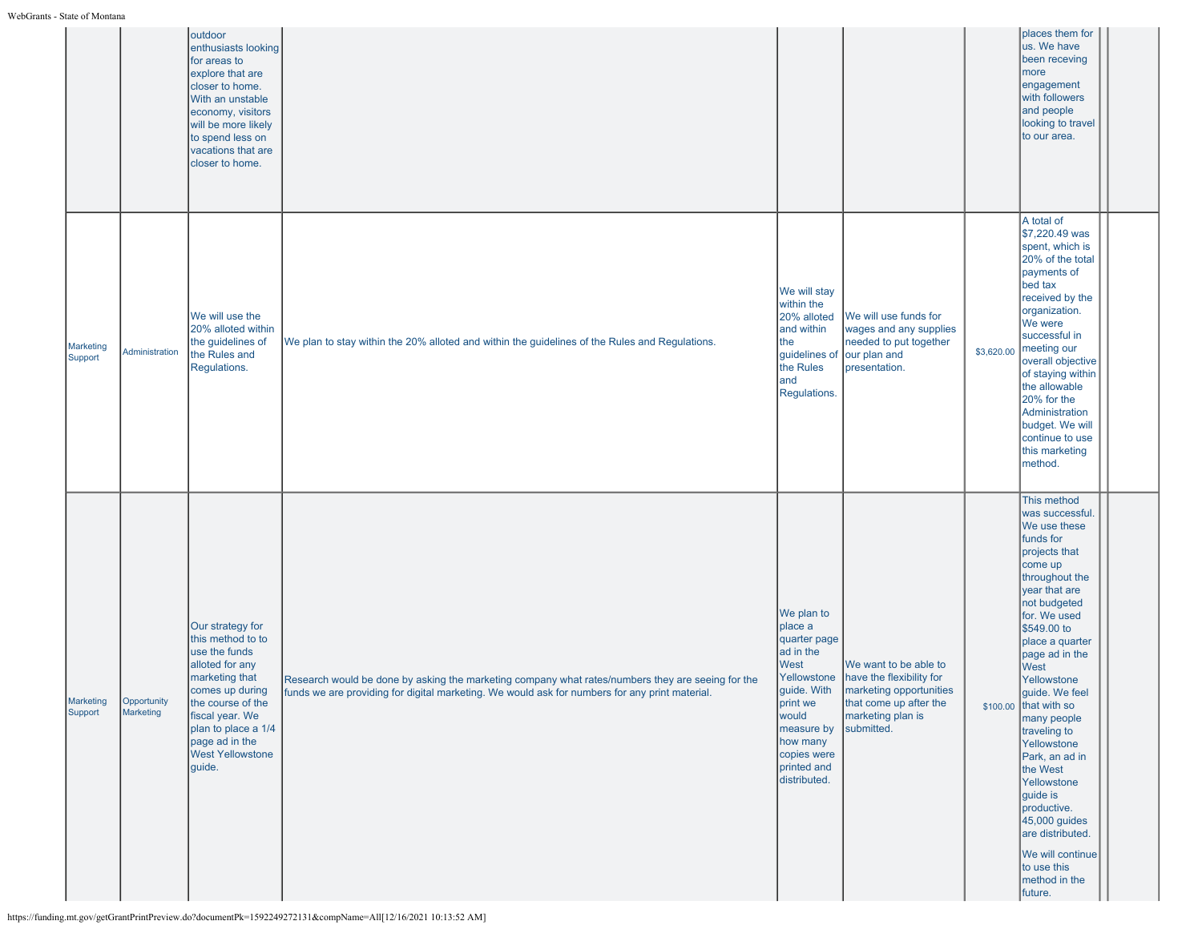|                      |                          | outdoor<br>enthusiasts looking<br>for areas to<br>explore that are<br>closer to home.<br>With an unstable<br>economy, visitors<br>will be more likely<br>to spend less on<br>vacations that are<br>closer to home.                   |                                                                                                                                                                                                     |                                                                                                                                                                                       |                                                                                                                                           |            | places them for<br>us. We have<br>been receving<br>more<br>engagement<br>with followers<br>and people<br>looking to travel<br>to our area.                                                                                                                                                                                                                                                                                                                                                                 |
|----------------------|--------------------------|--------------------------------------------------------------------------------------------------------------------------------------------------------------------------------------------------------------------------------------|-----------------------------------------------------------------------------------------------------------------------------------------------------------------------------------------------------|---------------------------------------------------------------------------------------------------------------------------------------------------------------------------------------|-------------------------------------------------------------------------------------------------------------------------------------------|------------|------------------------------------------------------------------------------------------------------------------------------------------------------------------------------------------------------------------------------------------------------------------------------------------------------------------------------------------------------------------------------------------------------------------------------------------------------------------------------------------------------------|
| Marketing<br>Support | Administration           | We will use the<br>20% alloted within<br>the guidelines of<br>the Rules and<br>Regulations.                                                                                                                                          | We plan to stay within the 20% alloted and within the guidelines of the Rules and Regulations.                                                                                                      | We will stay<br>within the<br>20% alloted<br>and within<br>the<br>guidelines of<br>the Rules<br>and<br>Regulations.                                                                   | We will use funds for<br>wages and any supplies<br>needed to put together<br>our plan and<br>Ipresentation.                               | \$3,620.00 | A total of<br>\$7,220.49 was<br>spent, which is<br>20% of the total<br>payments of<br>bed tax<br>received by the<br>organization.<br>We were<br>successful in<br>meeting our<br>overall objective<br>of staying within<br>the allowable<br>20% for the<br>Administration<br>budget. We will<br>continue to use<br>this marketing<br>method.                                                                                                                                                                |
| Marketing<br>Support | Opportunity<br>Marketing | Our strategy for<br>this method to to<br>use the funds<br>alloted for any<br>marketing that<br>comes up during<br>the course of the<br>fiscal year. We<br>plan to place a 1/4<br>page ad in the<br><b>West Yellowstone</b><br>guide. | Research would be done by asking the marketing company what rates/numbers they are seeing for the<br>funds we are providing for digital marketing. We would ask for numbers for any print material. | We plan to<br>place a<br>quarter page<br>ad in the<br>West<br>Yellowstone<br>guide. With<br>print we<br>would<br>measure by<br>how many<br>copies were<br>printed and<br>distributed. | We want to be able to<br>have the flexibility for<br>marketing opportunities<br>that come up after the<br>marketing plan is<br>submitted. |            | This method<br>was successful<br>We use these<br>funds for<br>projects that<br>come up<br>throughout the<br>year that are<br>not budgeted<br>for. We used<br>\$549.00 to<br>place a quarter<br>page ad in the<br>West<br>Yellowstone<br>quide. We feel<br>$$100.00$ that with so<br>many people<br>traveling to<br>Yellowstone<br>Park, an ad in<br>the West<br>Yellowstone<br>guide is<br>productive.<br>45,000 guides<br>are distributed.<br>We will continue<br>to use this<br>method in the<br>future. |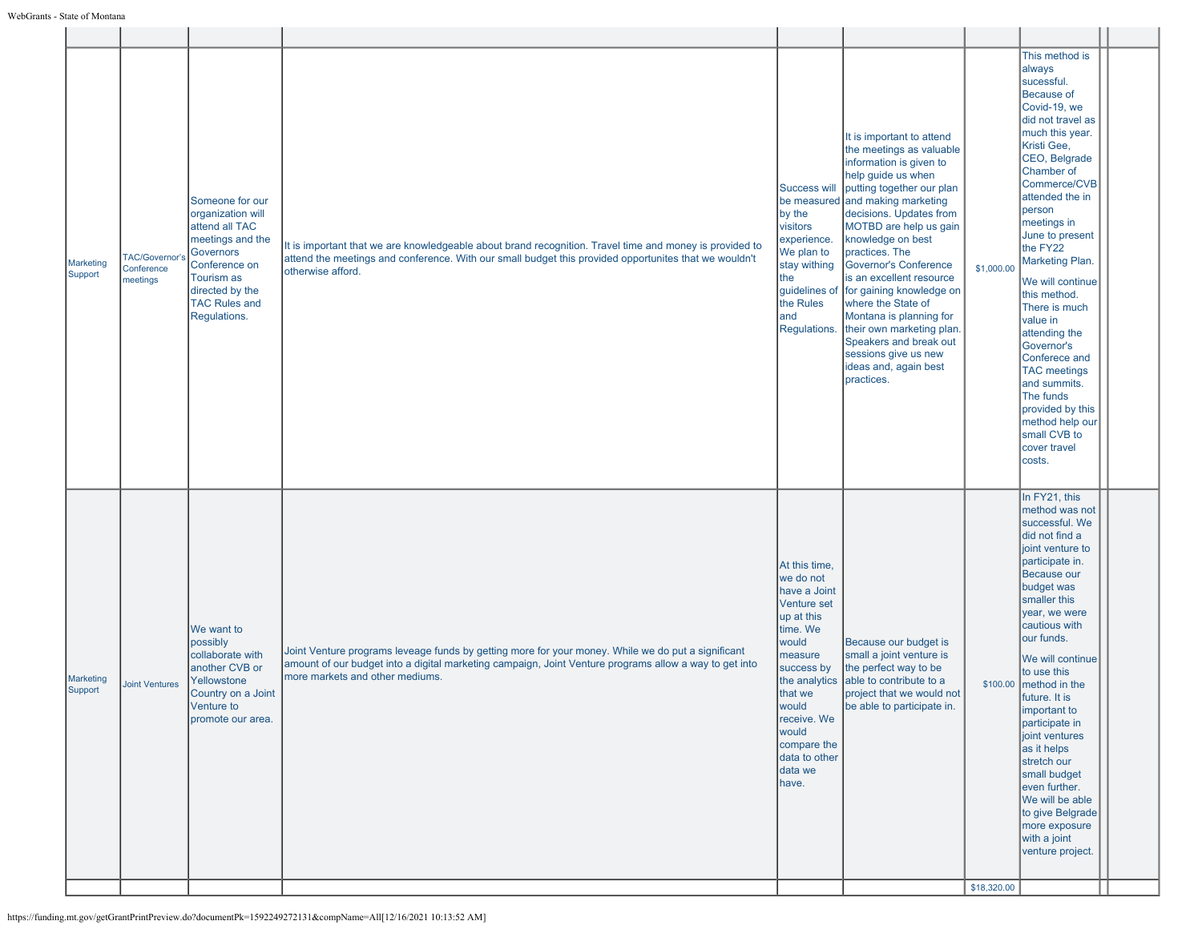| Marketing<br>Support | TAC/Governor'<br>Conference<br>meetings | Someone for our<br>organization will<br>attend all TAC<br>meetings and the<br><b>Governors</b>                                       |                                                                                                                                                                                                                                                  | Success will                                                                                                                                                                                                          | It is important to attend<br>the meetings as valuable<br>information is given to<br>help guide us when<br>putting together our plan                                                                                                                                                                                                                                                                             |             | This method is<br>always<br>sucessful.<br>Because of<br>Covid-19, we<br>did not travel as<br>much this year.<br>Kristi Gee,<br>CEO, Belgrade<br>Chamber of                                                                                                                                                                                                                                                                                                                                            |  |
|----------------------|-----------------------------------------|--------------------------------------------------------------------------------------------------------------------------------------|--------------------------------------------------------------------------------------------------------------------------------------------------------------------------------------------------------------------------------------------------|-----------------------------------------------------------------------------------------------------------------------------------------------------------------------------------------------------------------------|-----------------------------------------------------------------------------------------------------------------------------------------------------------------------------------------------------------------------------------------------------------------------------------------------------------------------------------------------------------------------------------------------------------------|-------------|-------------------------------------------------------------------------------------------------------------------------------------------------------------------------------------------------------------------------------------------------------------------------------------------------------------------------------------------------------------------------------------------------------------------------------------------------------------------------------------------------------|--|
|                      |                                         | Conference on<br>Tourism as<br>directed by the<br><b>TAC Rules and</b><br>Regulations.                                               | It is important that we are knowledgeable about brand recognition. Travel time and money is provided to<br>attend the meetings and conference. With our small budget this provided opportunites that we wouldn't<br>otherwise afford.            | by the<br>visitors<br>experience.<br>We plan to<br>stay withing<br>the<br>the Rules<br>and                                                                                                                            | be measured and making marketing<br>decisions. Updates from<br>MOTBD are help us gain<br>knowledge on best<br>practices. The<br>Governor's Conference<br>is an excellent resource<br>guidelines of for gaining knowledge on<br>where the State of<br>Montana is planning for<br>Regulations. their own marketing plan.<br>Speakers and break out<br>sessions give us new<br>ideas and, again best<br>practices. | \$1,000.00  | Commerce/CVB<br>attended the in<br>person<br>meetings in<br>June to present<br>the FY22<br>Marketing Plan.<br>We will continue<br>this method.<br>There is much<br>value in<br>attending the<br>Governor's<br>Conferece and<br>TAC meetings<br>and summits.<br>The funds<br>provided by this<br>method help our<br>small CVB to<br>cover travel<br>costs.                                                                                                                                             |  |
| Marketing<br>Support | <b>Joint Ventures</b>                   | We want to<br>possibly<br>collaborate with<br>another CVB or<br>Yellowstone<br>Country on a Joint<br>Venture to<br>promote our area. | Joint Venture programs leveage funds by getting more for your money. While we do put a significant<br>amount of our budget into a digital marketing campaign, Joint Venture programs allow a way to get into<br>Imore markets and other mediums. | At this time,<br>we do not<br>have a Joint<br>Venture set<br>up at this<br>time. We<br>would<br>measure<br>success by<br>that we<br>would<br>receive. We<br>would<br>compare the<br>data to other<br>data we<br>have. | Because our budget is<br>small a joint venture is<br>the perfect way to be<br>the analytics able to contribute to a<br>project that we would not<br>be able to participate in.                                                                                                                                                                                                                                  | \$18,320.00 | In FY21, this<br>method was not<br>successful. We<br>did not find a<br>joint venture to<br>participate in.<br>Because our<br>budget was<br>smaller this<br>year, we were<br>cautious with<br>our funds.<br>We will continue<br>to use this<br>$$100.00$ method in the<br>future. It is<br>important to<br>participate in<br>joint ventures<br>as it helps<br>stretch our<br>small budget<br>even further.<br>We will be able<br>to give Belgrade<br>more exposure<br>with a joint<br>venture project. |  |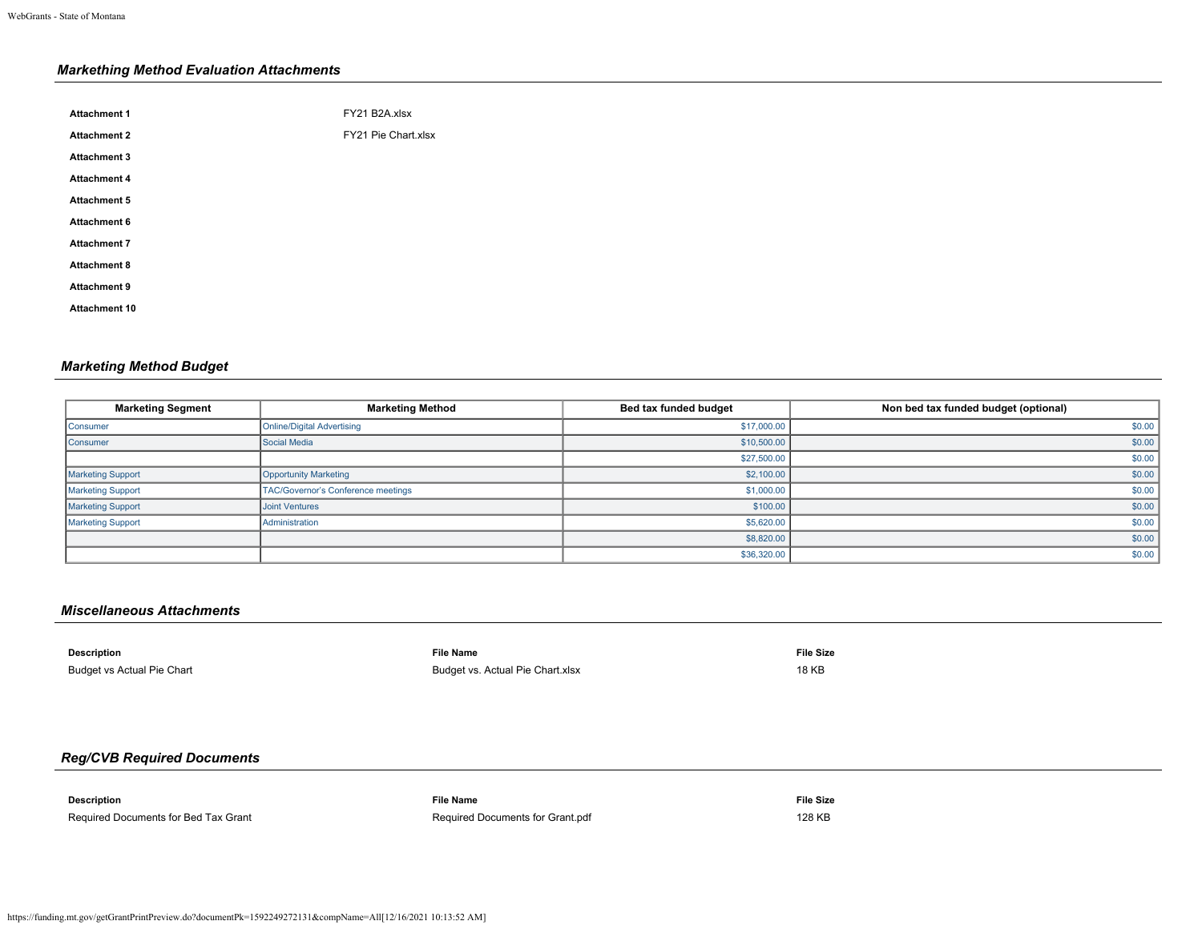# *Markething Method Evaluation Attachments*

| <b>Attachment 1</b>  | FY21 B2A.xlsx       |
|----------------------|---------------------|
| <b>Attachment 2</b>  | FY21 Pie Chart.xlsx |
| <b>Attachment 3</b>  |                     |
| <b>Attachment 4</b>  |                     |
| <b>Attachment 5</b>  |                     |
| <b>Attachment 6</b>  |                     |
| <b>Attachment 7</b>  |                     |
| <b>Attachment 8</b>  |                     |
| <b>Attachment 9</b>  |                     |
| <b>Attachment 10</b> |                     |
|                      |                     |

# *Marketing Method Budget*

| <b>Marketing Segment</b> | <b>Marketing Method</b>            | Bed tax funded budget | Non bed tax funded budget (optional) |
|--------------------------|------------------------------------|-----------------------|--------------------------------------|
| Consumer                 | <b>Online/Digital Advertising</b>  | \$17,000.00           | \$0.00                               |
| Consumer                 | Social Media                       | \$10,500.00           | \$0.00                               |
|                          |                                    | \$27,500.00           | \$0.00                               |
| <b>Marketing Support</b> | Opportunity Marketing              | \$2,100.00            | \$0.00                               |
| <b>Marketing Support</b> | TAC/Governor's Conference meetings | \$1,000.00            | \$0.00                               |
| <b>Marketing Support</b> | <b>Joint Ventures</b>              | \$100.00              | \$0.00                               |
| Marketing Support        | Administration                     | \$5,620.00            | \$0.00                               |
|                          |                                    | \$8,820.00            | \$0.00                               |
|                          |                                    | \$36,320.00           | \$0.00                               |

## *Miscellaneous Attachments*

| <b>Description</b>         | File Name                        | <b>File Size</b> |
|----------------------------|----------------------------------|------------------|
| Budget vs Actual Pie Chart | Budget vs. Actual Pie Chart.xlsx | <b>18 KB</b>     |

# *Reg/CVB Required Documents*

| <b>Description</b>                                                                                                                                                                                                                   | File Name                        | <b>File Size</b> |
|--------------------------------------------------------------------------------------------------------------------------------------------------------------------------------------------------------------------------------------|----------------------------------|------------------|
| $\blacksquare$ . The contract of the contract of the contract of the contract of the contract of the contract of the contract of the contract of the contract of the contract of the contract of the contract of the contract of the |                                  |                  |
| Required Documents for Bed Tax Grant                                                                                                                                                                                                 | Required Documents for Grant.pdf | 128 KB           |